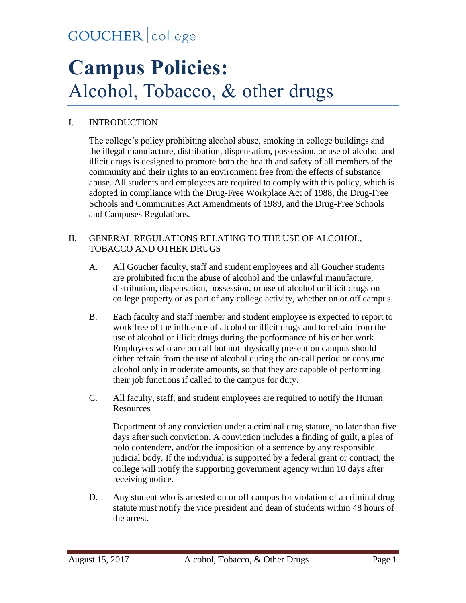# **Campus Policies:** Alcohol, Tobacco, & other drugs

#### I. INTRODUCTION

The college's policy prohibiting alcohol abuse, smoking in college buildings and the illegal manufacture, distribution, dispensation, possession, or use of alcohol and illicit drugs is designed to promote both the health and safety of all members of the community and their rights to an environment free from the effects of substance abuse. All students and employees are required to comply with this policy, which is adopted in compliance with the Drug-Free Workplace Act of 1988, the Drug-Free Schools and Communities Act Amendments of 1989, and the Drug-Free Schools and Campuses Regulations.

#### II. GENERAL REGULATIONS RELATING TO THE USE OF ALCOHOL, TOBACCO AND OTHER DRUGS

- A. All Goucher faculty, staff and student employees and all Goucher students are prohibited from the abuse of alcohol and the unlawful manufacture, distribution, dispensation, possession, or use of alcohol or illicit drugs on college property or as part of any college activity, whether on or off campus.
- B. Each faculty and staff member and student employee is expected to report to work free of the influence of alcohol or illicit drugs and to refrain from the use of alcohol or illicit drugs during the performance of his or her work. Employees who are on call but not physically present on campus should either refrain from the use of alcohol during the on-call period or consume alcohol only in moderate amounts, so that they are capable of performing their job functions if called to the campus for duty.
- C. All faculty, staff, and student employees are required to notify the Human **Resources**

Department of any conviction under a criminal drug statute, no later than five days after such conviction. A conviction includes a finding of guilt, a plea of nolo contendere, and/or the imposition of a sentence by any responsible judicial body. If the individual is supported by a federal grant or contract, the college will notify the supporting government agency within 10 days after receiving notice.

D. Any student who is arrested on or off campus for violation of a criminal drug statute must notify the vice president and dean of students within 48 hours of the arrest.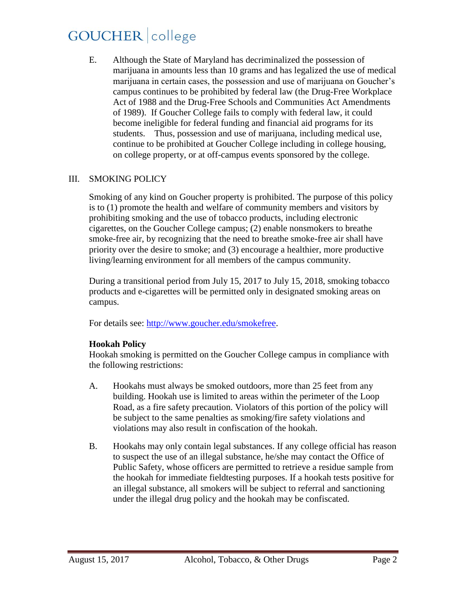E. Although the State of Maryland has decriminalized the possession of marijuana in amounts less than 10 grams and has legalized the use of medical marijuana in certain cases, the possession and use of marijuana on Goucher's campus continues to be prohibited by federal law (the Drug-Free Workplace Act of 1988 and the Drug-Free Schools and Communities Act Amendments of 1989). If Goucher College fails to comply with federal law, it could become ineligible for federal funding and financial aid programs for its students. Thus, possession and use of marijuana, including medical use, continue to be prohibited at Goucher College including in college housing, on college property, or at off-campus events sponsored by the college.

#### III. SMOKING POLICY

Smoking of any kind on Goucher property is prohibited. The purpose of this policy is to (1) promote the health and welfare of community members and visitors by prohibiting smoking and the use of tobacco products, including electronic cigarettes, on the Goucher College campus; (2) enable nonsmokers to breathe smoke-free air, by recognizing that the need to breathe smoke-free air shall have priority over the desire to smoke; and (3) encourage a healthier, more productive living/learning environment for all members of the campus community.

During a transitional period from July 15, 2017 to July 15, 2018, smoking tobacco products and e-cigarettes will be permitted only in designated smoking areas on campus.

For details see: [http://www.goucher.edu/smokefree.](http://www.goucher.edu/smokefree)

#### **Hookah Policy**

Hookah smoking is permitted on the Goucher College campus in compliance with the following restrictions:

- A. Hookahs must always be smoked outdoors, more than 25 feet from any building. Hookah use is limited to areas within the perimeter of the Loop Road, as a fire safety precaution. Violators of this portion of the policy will be subject to the same penalties as smoking/fire safety violations and violations may also result in confiscation of the hookah.
- B. Hookahs may only contain legal substances. If any college official has reason to suspect the use of an illegal substance, he/she may contact the Office of Public Safety, whose officers are permitted to retrieve a residue sample from the hookah for immediate fieldtesting purposes. If a hookah tests positive for an illegal substance, all smokers will be subject to referral and sanctioning under the illegal drug policy and the hookah may be confiscated.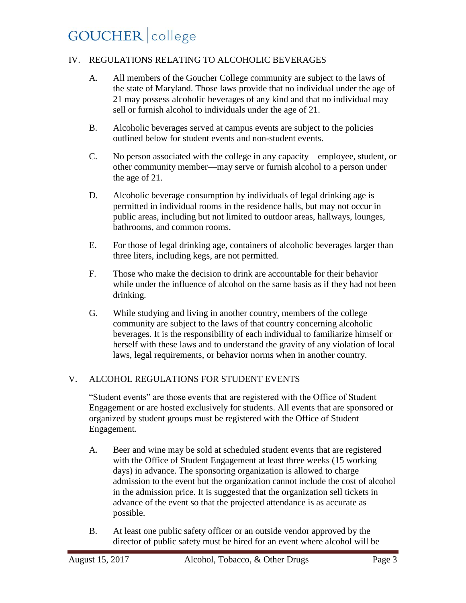#### IV. REGULATIONS RELATING TO ALCOHOLIC BEVERAGES

- A. All members of the Goucher College community are subject to the laws of the state of Maryland. Those laws provide that no individual under the age of 21 may possess alcoholic beverages of any kind and that no individual may sell or furnish alcohol to individuals under the age of 21.
- B. Alcoholic beverages served at campus events are subject to the policies outlined below for student events and non-student events.
- C. No person associated with the college in any capacity—employee, student, or other community member—may serve or furnish alcohol to a person under the age of 21.
- D. Alcoholic beverage consumption by individuals of legal drinking age is permitted in individual rooms in the residence halls, but may not occur in public areas, including but not limited to outdoor areas, hallways, lounges, bathrooms, and common rooms.
- E. For those of legal drinking age, containers of alcoholic beverages larger than three liters, including kegs, are not permitted.
- F. Those who make the decision to drink are accountable for their behavior while under the influence of alcohol on the same basis as if they had not been drinking.
- G. While studying and living in another country, members of the college community are subject to the laws of that country concerning alcoholic beverages. It is the responsibility of each individual to familiarize himself or herself with these laws and to understand the gravity of any violation of local laws, legal requirements, or behavior norms when in another country.

#### V. ALCOHOL REGULATIONS FOR STUDENT EVENTS

"Student events" are those events that are registered with the Office of Student Engagement or are hosted exclusively for students. All events that are sponsored or organized by student groups must be registered with the Office of Student Engagement.

- A. Beer and wine may be sold at scheduled student events that are registered with the Office of Student Engagement at least three weeks (15 working days) in advance. The sponsoring organization is allowed to charge admission to the event but the organization cannot include the cost of alcohol in the admission price. It is suggested that the organization sell tickets in advance of the event so that the projected attendance is as accurate as possible.
- B. At least one public safety officer or an outside vendor approved by the director of public safety must be hired for an event where alcohol will be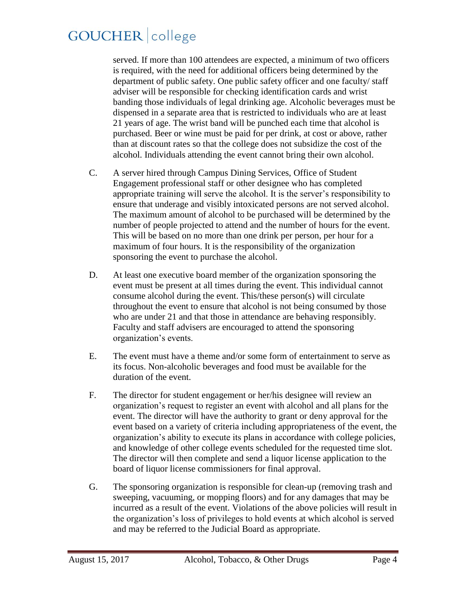served. If more than 100 attendees are expected, a minimum of two officers is required, with the need for additional officers being determined by the department of public safety. One public safety officer and one faculty/ staff adviser will be responsible for checking identification cards and wrist banding those individuals of legal drinking age. Alcoholic beverages must be dispensed in a separate area that is restricted to individuals who are at least 21 years of age. The wrist band will be punched each time that alcohol is purchased. Beer or wine must be paid for per drink, at cost or above, rather than at discount rates so that the college does not subsidize the cost of the alcohol. Individuals attending the event cannot bring their own alcohol.

- C. A server hired through Campus Dining Services, Office of Student Engagement professional staff or other designee who has completed appropriate training will serve the alcohol. It is the server's responsibility to ensure that underage and visibly intoxicated persons are not served alcohol. The maximum amount of alcohol to be purchased will be determined by the number of people projected to attend and the number of hours for the event. This will be based on no more than one drink per person, per hour for a maximum of four hours. It is the responsibility of the organization sponsoring the event to purchase the alcohol.
- D. At least one executive board member of the organization sponsoring the event must be present at all times during the event. This individual cannot consume alcohol during the event. This/these person(s) will circulate throughout the event to ensure that alcohol is not being consumed by those who are under 21 and that those in attendance are behaving responsibly. Faculty and staff advisers are encouraged to attend the sponsoring organization's events.
- E. The event must have a theme and/or some form of entertainment to serve as its focus. Non-alcoholic beverages and food must be available for the duration of the event.
- F. The director for student engagement or her/his designee will review an organization's request to register an event with alcohol and all plans for the event. The director will have the authority to grant or deny approval for the event based on a variety of criteria including appropriateness of the event, the organization's ability to execute its plans in accordance with college policies, and knowledge of other college events scheduled for the requested time slot. The director will then complete and send a liquor license application to the board of liquor license commissioners for final approval.
- G. The sponsoring organization is responsible for clean-up (removing trash and sweeping, vacuuming, or mopping floors) and for any damages that may be incurred as a result of the event. Violations of the above policies will result in the organization's loss of privileges to hold events at which alcohol is served and may be referred to the Judicial Board as appropriate.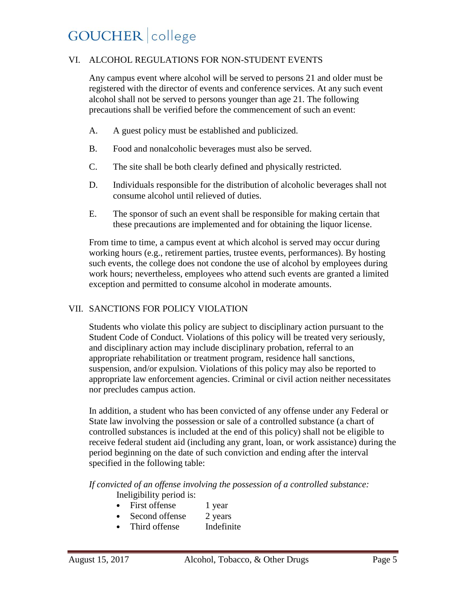#### VI. ALCOHOL REGULATIONS FOR NON-STUDENT EVENTS

Any campus event where alcohol will be served to persons 21 and older must be registered with the director of events and conference services. At any such event alcohol shall not be served to persons younger than age 21. The following precautions shall be verified before the commencement of such an event:

- A. A guest policy must be established and publicized.
- B. Food and nonalcoholic beverages must also be served.
- C. The site shall be both clearly defined and physically restricted.
- D. Individuals responsible for the distribution of alcoholic beverages shall not consume alcohol until relieved of duties.
- E. The sponsor of such an event shall be responsible for making certain that these precautions are implemented and for obtaining the liquor license.

From time to time, a campus event at which alcohol is served may occur during working hours (e.g., retirement parties, trustee events, performances). By hosting such events, the college does not condone the use of alcohol by employees during work hours; nevertheless, employees who attend such events are granted a limited exception and permitted to consume alcohol in moderate amounts.

#### VII. SANCTIONS FOR POLICY VIOLATION

Students who violate this policy are subject to disciplinary action pursuant to the Student Code of Conduct. Violations of this policy will be treated very seriously, and disciplinary action may include disciplinary probation, referral to an appropriate rehabilitation or treatment program, residence hall sanctions, suspension, and/or expulsion. Violations of this policy may also be reported to appropriate law enforcement agencies. Criminal or civil action neither necessitates nor precludes campus action.

In addition, a student who has been convicted of any offense under any Federal or State law involving the possession or sale of a controlled substance (a chart of controlled substances is included at the end of this policy) shall not be eligible to receive federal student aid (including any grant, loan, or work assistance) during the period beginning on the date of such conviction and ending after the interval specified in the following table:

*If convicted of an offense involving the possession of a controlled substance:* Ineligibility period is:

- First offense 1 year
- Second offense 2 years
- Third offense Indefinite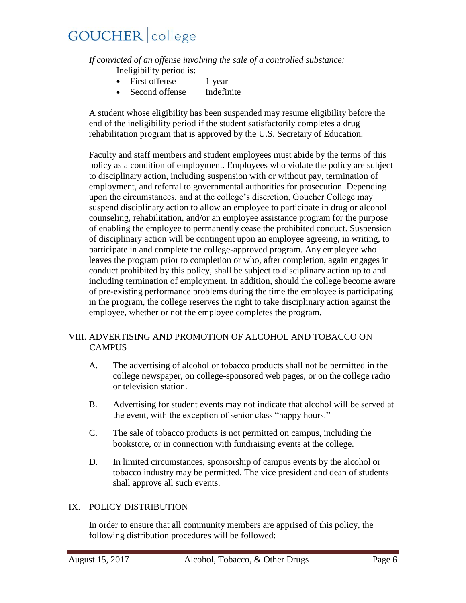*If convicted of an offense involving the sale of a controlled substance:*

Ineligibility period is:

- First offense 1 year
- Second offense Indefinite

A student whose eligibility has been suspended may resume eligibility before the end of the ineligibility period if the student satisfactorily completes a drug rehabilitation program that is approved by the U.S. Secretary of Education.

Faculty and staff members and student employees must abide by the terms of this policy as a condition of employment. Employees who violate the policy are subject to disciplinary action, including suspension with or without pay, termination of employment, and referral to governmental authorities for prosecution. Depending upon the circumstances, and at the college's discretion, Goucher College may suspend disciplinary action to allow an employee to participate in drug or alcohol counseling, rehabilitation, and/or an employee assistance program for the purpose of enabling the employee to permanently cease the prohibited conduct. Suspension of disciplinary action will be contingent upon an employee agreeing, in writing, to participate in and complete the college-approved program. Any employee who leaves the program prior to completion or who, after completion, again engages in conduct prohibited by this policy, shall be subject to disciplinary action up to and including termination of employment. In addition, should the college become aware of pre-existing performance problems during the time the employee is participating in the program, the college reserves the right to take disciplinary action against the employee, whether or not the employee completes the program.

#### VIII. ADVERTISING AND PROMOTION OF ALCOHOL AND TOBACCO ON **CAMPUS**

- A. The advertising of alcohol or tobacco products shall not be permitted in the college newspaper, on college-sponsored web pages, or on the college radio or television station.
- B. Advertising for student events may not indicate that alcohol will be served at the event, with the exception of senior class "happy hours."
- C. The sale of tobacco products is not permitted on campus, including the bookstore, or in connection with fundraising events at the college.
- D. In limited circumstances, sponsorship of campus events by the alcohol or tobacco industry may be permitted. The vice president and dean of students shall approve all such events.

#### IX. POLICY DISTRIBUTION

In order to ensure that all community members are apprised of this policy, the following distribution procedures will be followed: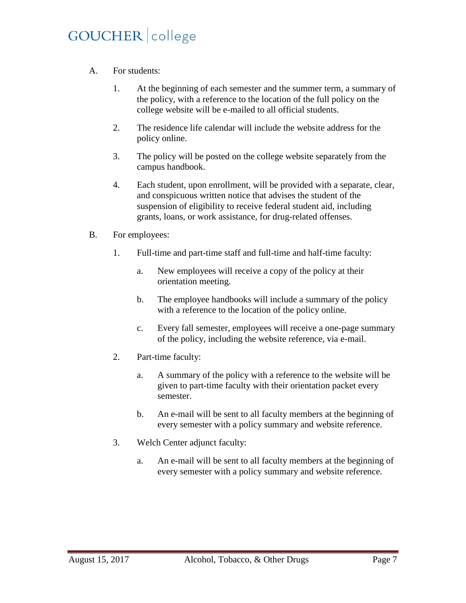- A. For students:
	- 1. At the beginning of each semester and the summer term, a summary of the policy, with a reference to the location of the full policy on the college website will be e-mailed to all official students.
	- 2. The residence life calendar will include the website address for the policy online.
	- 3. The policy will be posted on the college website separately from the campus handbook.
	- 4. Each student, upon enrollment, will be provided with a separate, clear, and conspicuous written notice that advises the student of the suspension of eligibility to receive federal student aid, including grants, loans, or work assistance, for drug-related offenses.
- B. For employees:
	- 1. Full-time and part-time staff and full-time and half-time faculty:
		- a. New employees will receive a copy of the policy at their orientation meeting.
		- b. The employee handbooks will include a summary of the policy with a reference to the location of the policy online.
		- c. Every fall semester, employees will receive a one-page summary of the policy, including the website reference, via e-mail.
	- 2. Part-time faculty:
		- a. A summary of the policy with a reference to the website will be given to part-time faculty with their orientation packet every semester.
		- b. An e-mail will be sent to all faculty members at the beginning of every semester with a policy summary and website reference.
	- 3. Welch Center adjunct faculty:
		- a. An e-mail will be sent to all faculty members at the beginning of every semester with a policy summary and website reference.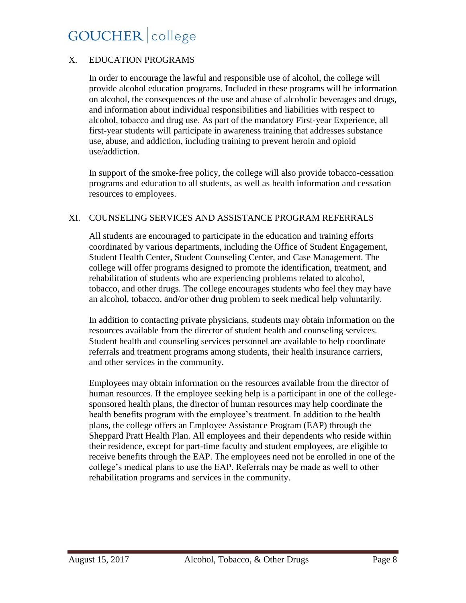#### X. EDUCATION PROGRAMS

In order to encourage the lawful and responsible use of alcohol, the college will provide alcohol education programs. Included in these programs will be information on alcohol, the consequences of the use and abuse of alcoholic beverages and drugs, and information about individual responsibilities and liabilities with respect to alcohol, tobacco and drug use. As part of the mandatory First-year Experience, all first-year students will participate in awareness training that addresses substance use, abuse, and addiction, including training to prevent heroin and opioid use/addiction.

In support of the smoke-free policy, the college will also provide tobacco-cessation programs and education to all students, as well as health information and cessation resources to employees.

#### XI. COUNSELING SERVICES AND ASSISTANCE PROGRAM REFERRALS

All students are encouraged to participate in the education and training efforts coordinated by various departments, including the Office of Student Engagement, Student Health Center, Student Counseling Center, and Case Management. The college will offer programs designed to promote the identification, treatment, and rehabilitation of students who are experiencing problems related to alcohol, tobacco, and other drugs. The college encourages students who feel they may have an alcohol, tobacco, and/or other drug problem to seek medical help voluntarily.

In addition to contacting private physicians, students may obtain information on the resources available from the director of student health and counseling services. Student health and counseling services personnel are available to help coordinate referrals and treatment programs among students, their health insurance carriers, and other services in the community.

Employees may obtain information on the resources available from the director of human resources. If the employee seeking help is a participant in one of the collegesponsored health plans, the director of human resources may help coordinate the health benefits program with the employee's treatment. In addition to the health plans, the college offers an Employee Assistance Program (EAP) through the Sheppard Pratt Health Plan. All employees and their dependents who reside within their residence, except for part-time faculty and student employees, are eligible to receive benefits through the EAP. The employees need not be enrolled in one of the college's medical plans to use the EAP. Referrals may be made as well to other rehabilitation programs and services in the community.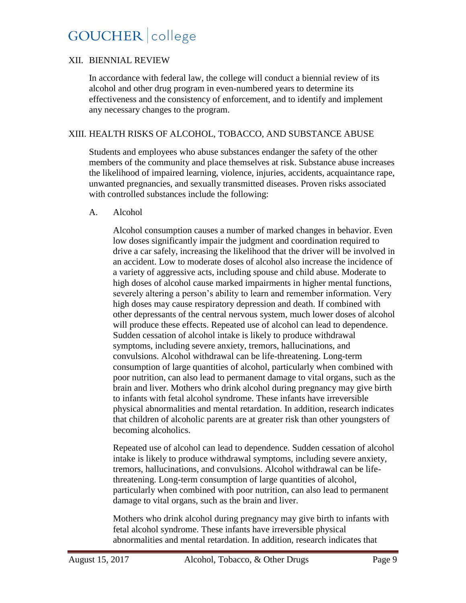#### XII. BIENNIAL REVIEW

In accordance with federal law, the college will conduct a biennial review of its alcohol and other drug program in even-numbered years to determine its effectiveness and the consistency of enforcement, and to identify and implement any necessary changes to the program.

#### XIII. HEALTH RISKS OF ALCOHOL, TOBACCO, AND SUBSTANCE ABUSE

Students and employees who abuse substances endanger the safety of the other members of the community and place themselves at risk. Substance abuse increases the likelihood of impaired learning, violence, injuries, accidents, acquaintance rape, unwanted pregnancies, and sexually transmitted diseases. Proven risks associated with controlled substances include the following:

#### A. Alcohol

Alcohol consumption causes a number of marked changes in behavior. Even low doses significantly impair the judgment and coordination required to drive a car safely, increasing the likelihood that the driver will be involved in an accident. Low to moderate doses of alcohol also increase the incidence of a variety of aggressive acts, including spouse and child abuse. Moderate to high doses of alcohol cause marked impairments in higher mental functions, severely altering a person's ability to learn and remember information. Very high doses may cause respiratory depression and death. If combined with other depressants of the central nervous system, much lower doses of alcohol will produce these effects. Repeated use of alcohol can lead to dependence. Sudden cessation of alcohol intake is likely to produce withdrawal symptoms, including severe anxiety, tremors, hallucinations, and convulsions. Alcohol withdrawal can be life-threatening. Long-term consumption of large quantities of alcohol, particularly when combined with poor nutrition, can also lead to permanent damage to vital organs, such as the brain and liver. Mothers who drink alcohol during pregnancy may give birth to infants with fetal alcohol syndrome. These infants have irreversible physical abnormalities and mental retardation. In addition, research indicates that children of alcoholic parents are at greater risk than other youngsters of becoming alcoholics.

Repeated use of alcohol can lead to dependence. Sudden cessation of alcohol intake is likely to produce withdrawal symptoms, including severe anxiety, tremors, hallucinations, and convulsions. Alcohol withdrawal can be lifethreatening. Long-term consumption of large quantities of alcohol, particularly when combined with poor nutrition, can also lead to permanent damage to vital organs, such as the brain and liver.

Mothers who drink alcohol during pregnancy may give birth to infants with fetal alcohol syndrome. These infants have irreversible physical abnormalities and mental retardation. In addition, research indicates that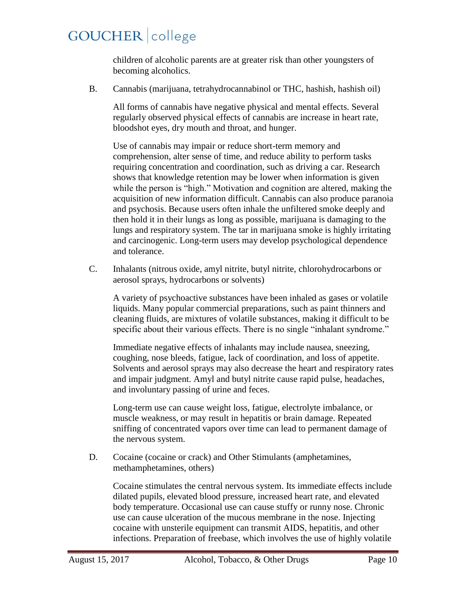children of alcoholic parents are at greater risk than other youngsters of becoming alcoholics.

B. Cannabis (marijuana, tetrahydrocannabinol or THC, hashish, hashish oil)

All forms of cannabis have negative physical and mental effects. Several regularly observed physical effects of cannabis are increase in heart rate, bloodshot eyes, dry mouth and throat, and hunger.

Use of cannabis may impair or reduce short-term memory and comprehension, alter sense of time, and reduce ability to perform tasks requiring concentration and coordination, such as driving a car. Research shows that knowledge retention may be lower when information is given while the person is "high." Motivation and cognition are altered, making the acquisition of new information difficult. Cannabis can also produce paranoia and psychosis. Because users often inhale the unfiltered smoke deeply and then hold it in their lungs as long as possible, marijuana is damaging to the lungs and respiratory system. The tar in marijuana smoke is highly irritating and carcinogenic. Long-term users may develop psychological dependence and tolerance.

C. Inhalants (nitrous oxide, amyl nitrite, butyl nitrite, chlorohydrocarbons or aerosol sprays, hydrocarbons or solvents)

A variety of psychoactive substances have been inhaled as gases or volatile liquids. Many popular commercial preparations, such as paint thinners and cleaning fluids, are mixtures of volatile substances, making it difficult to be specific about their various effects. There is no single "inhalant syndrome."

Immediate negative effects of inhalants may include nausea, sneezing, coughing, nose bleeds, fatigue, lack of coordination, and loss of appetite. Solvents and aerosol sprays may also decrease the heart and respiratory rates and impair judgment. Amyl and butyl nitrite cause rapid pulse, headaches, and involuntary passing of urine and feces.

Long-term use can cause weight loss, fatigue, electrolyte imbalance, or muscle weakness, or may result in hepatitis or brain damage. Repeated sniffing of concentrated vapors over time can lead to permanent damage of the nervous system.

D. Cocaine (cocaine or crack) and Other Stimulants (amphetamines, methamphetamines, others)

Cocaine stimulates the central nervous system. Its immediate effects include dilated pupils, elevated blood pressure, increased heart rate, and elevated body temperature. Occasional use can cause stuffy or runny nose. Chronic use can cause ulceration of the mucous membrane in the nose. Injecting cocaine with unsterile equipment can transmit AIDS, hepatitis, and other infections. Preparation of freebase, which involves the use of highly volatile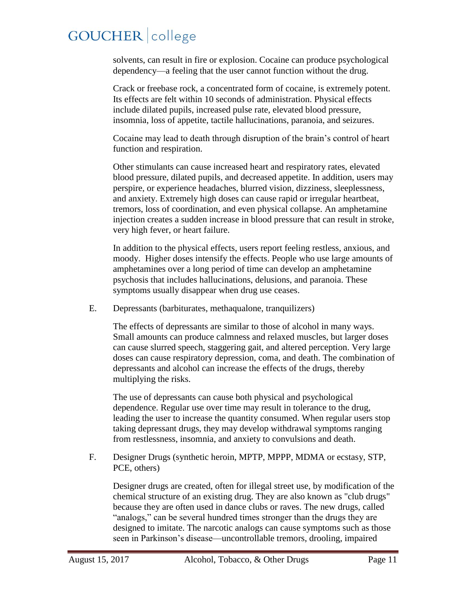solvents, can result in fire or explosion. Cocaine can produce psychological dependency—a feeling that the user cannot function without the drug.

Crack or freebase rock, a concentrated form of cocaine, is extremely potent. Its effects are felt within 10 seconds of administration. Physical effects include dilated pupils, increased pulse rate, elevated blood pressure, insomnia, loss of appetite, tactile hallucinations, paranoia, and seizures.

Cocaine may lead to death through disruption of the brain's control of heart function and respiration.

Other stimulants can cause increased heart and respiratory rates, elevated blood pressure, dilated pupils, and decreased appetite. In addition, users may perspire, or experience headaches, blurred vision, dizziness, sleeplessness, and anxiety. Extremely high doses can cause rapid or irregular heartbeat, tremors, loss of coordination, and even physical collapse. An amphetamine injection creates a sudden increase in blood pressure that can result in stroke, very high fever, or heart failure.

In addition to the physical effects, users report feeling restless, anxious, and moody. Higher doses intensify the effects. People who use large amounts of amphetamines over a long period of time can develop an amphetamine psychosis that includes hallucinations, delusions, and paranoia. These symptoms usually disappear when drug use ceases.

E. Depressants (barbiturates, methaqualone, tranquilizers)

The effects of depressants are similar to those of alcohol in many ways. Small amounts can produce calmness and relaxed muscles, but larger doses can cause slurred speech, staggering gait, and altered perception. Very large doses can cause respiratory depression, coma, and death. The combination of depressants and alcohol can increase the effects of the drugs, thereby multiplying the risks.

The use of depressants can cause both physical and psychological dependence. Regular use over time may result in tolerance to the drug, leading the user to increase the quantity consumed. When regular users stop taking depressant drugs, they may develop withdrawal symptoms ranging from restlessness, insomnia, and anxiety to convulsions and death.

F. Designer Drugs (synthetic heroin, MPTP, MPPP, MDMA or ecstasy, STP, PCE, others)

Designer drugs are created, often for illegal street use, by modification of the chemical structure of an existing drug. They are also known as "club drugs" because they are often used in dance clubs or raves. The new drugs, called "analogs," can be several hundred times stronger than the drugs they are designed to imitate. The narcotic analogs can cause symptoms such as those seen in Parkinson's disease—uncontrollable tremors, drooling, impaired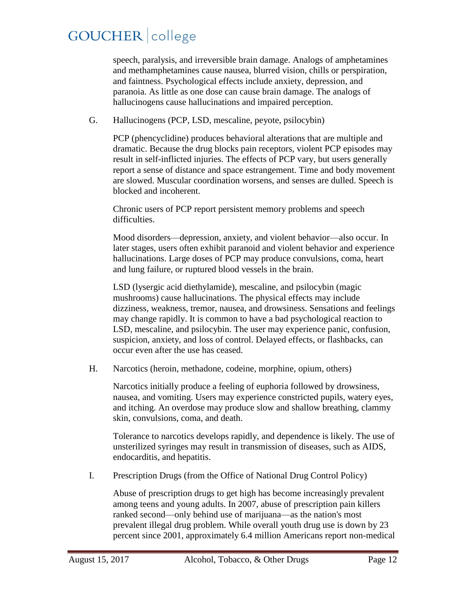speech, paralysis, and irreversible brain damage. Analogs of amphetamines and methamphetamines cause nausea, blurred vision, chills or perspiration, and faintness. Psychological effects include anxiety, depression, and paranoia. As little as one dose can cause brain damage. The analogs of hallucinogens cause hallucinations and impaired perception.

G. Hallucinogens (PCP, LSD, mescaline, peyote, psilocybin)

PCP (phencyclidine) produces behavioral alterations that are multiple and dramatic. Because the drug blocks pain receptors, violent PCP episodes may result in self-inflicted injuries. The effects of PCP vary, but users generally report a sense of distance and space estrangement. Time and body movement are slowed. Muscular coordination worsens, and senses are dulled. Speech is blocked and incoherent.

Chronic users of PCP report persistent memory problems and speech difficulties.

Mood disorders—depression, anxiety, and violent behavior—also occur. In later stages, users often exhibit paranoid and violent behavior and experience hallucinations. Large doses of PCP may produce convulsions, coma, heart and lung failure, or ruptured blood vessels in the brain.

LSD (lysergic acid diethylamide), mescaline, and psilocybin (magic mushrooms) cause hallucinations. The physical effects may include dizziness, weakness, tremor, nausea, and drowsiness. Sensations and feelings may change rapidly. It is common to have a bad psychological reaction to LSD, mescaline, and psilocybin. The user may experience panic, confusion, suspicion, anxiety, and loss of control. Delayed effects, or flashbacks, can occur even after the use has ceased.

H. Narcotics (heroin, methadone, codeine, morphine, opium, others)

Narcotics initially produce a feeling of euphoria followed by drowsiness, nausea, and vomiting. Users may experience constricted pupils, watery eyes, and itching. An overdose may produce slow and shallow breathing, clammy skin, convulsions, coma, and death.

Tolerance to narcotics develops rapidly, and dependence is likely. The use of unsterilized syringes may result in transmission of diseases, such as AIDS, endocarditis, and hepatitis.

I. Prescription Drugs (from the Office of National Drug Control Policy)

Abuse of prescription drugs to get high has become increasingly prevalent among teens and young adults. In 2007, abuse of prescription pain killers ranked second—only behind use of marijuana—as the nation's most prevalent illegal drug problem. While overall youth drug use is down by 23 percent since 2001, approximately 6.4 million Americans report non-medical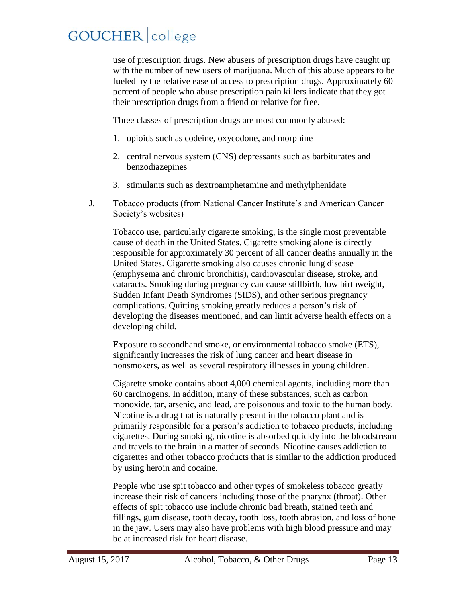use of prescription drugs. New abusers of prescription drugs have caught up with the number of new users of marijuana. Much of this abuse appears to be fueled by the relative ease of access to prescription drugs. Approximately 60 percent of people who abuse prescription pain killers indicate that they got their prescription drugs from a friend or relative for free.

Three classes of prescription drugs are most commonly abused:

- 1. opioids such as codeine, oxycodone, and morphine
- 2. central nervous system (CNS) depressants such as barbiturates and benzodiazepines
- 3. stimulants such as dextroamphetamine and methylphenidate
- J. Tobacco products (from National Cancer Institute's and American Cancer Society's websites)

Tobacco use, particularly cigarette smoking, is the single most preventable cause of death in the United States. Cigarette smoking alone is directly responsible for approximately 30 percent of all cancer deaths annually in the United States. Cigarette smoking also causes chronic lung disease (emphysema and chronic bronchitis), cardiovascular disease, stroke, and cataracts. Smoking during pregnancy can cause stillbirth, low birthweight, Sudden Infant Death Syndromes (SIDS), and other serious pregnancy complications. Quitting smoking greatly reduces a person's risk of developing the diseases mentioned, and can limit adverse health effects on a developing child.

Exposure to secondhand smoke, or environmental tobacco smoke (ETS), significantly increases the risk of lung cancer and heart disease in nonsmokers, as well as several respiratory illnesses in young children.

Cigarette smoke contains about 4,000 chemical agents, including more than 60 carcinogens. In addition, many of these substances, such as carbon monoxide, tar, arsenic, and lead, are poisonous and toxic to the human body. Nicotine is a drug that is naturally present in the tobacco plant and is primarily responsible for a person's addiction to tobacco products, including cigarettes. During smoking, nicotine is absorbed quickly into the bloodstream and travels to the brain in a matter of seconds. Nicotine causes addiction to cigarettes and other tobacco products that is similar to the addiction produced by using heroin and cocaine.

People who use spit tobacco and other types of smokeless tobacco greatly increase their risk of cancers including those of the pharynx (throat). Other effects of spit tobacco use include chronic bad breath, stained teeth and fillings, gum disease, tooth decay, tooth loss, tooth abrasion, and loss of bone in the jaw. Users may also have problems with high blood pressure and may be at increased risk for heart disease.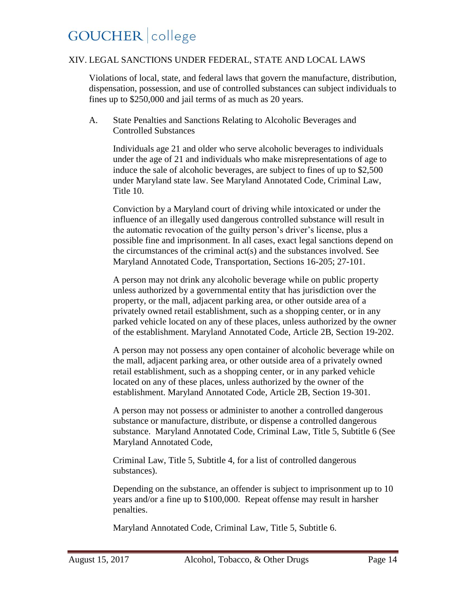#### XIV. LEGAL SANCTIONS UNDER FEDERAL, STATE AND LOCAL LAWS

Violations of local, state, and federal laws that govern the manufacture, distribution, dispensation, possession, and use of controlled substances can subject individuals to fines up to \$250,000 and jail terms of as much as 20 years.

A. State Penalties and Sanctions Relating to Alcoholic Beverages and Controlled Substances

Individuals age 21 and older who serve alcoholic beverages to individuals under the age of 21 and individuals who make misrepresentations of age to induce the sale of alcoholic beverages, are subject to fines of up to \$2,500 under Maryland state law. See Maryland Annotated Code, Criminal Law, Title 10.

Conviction by a Maryland court of driving while intoxicated or under the influence of an illegally used dangerous controlled substance will result in the automatic revocation of the guilty person's driver's license, plus a possible fine and imprisonment. In all cases, exact legal sanctions depend on the circumstances of the criminal act(s) and the substances involved. See Maryland Annotated Code, Transportation, Sections 16-205; 27-101.

A person may not drink any alcoholic beverage while on public property unless authorized by a governmental entity that has jurisdiction over the property, or the mall, adjacent parking area, or other outside area of a privately owned retail establishment, such as a shopping center, or in any parked vehicle located on any of these places, unless authorized by the owner of the establishment. Maryland Annotated Code, Article 2B, Section 19-202.

A person may not possess any open container of alcoholic beverage while on the mall, adjacent parking area, or other outside area of a privately owned retail establishment, such as a shopping center, or in any parked vehicle located on any of these places, unless authorized by the owner of the establishment. Maryland Annotated Code, Article 2B, Section 19-301.

A person may not possess or administer to another a controlled dangerous substance or manufacture, distribute, or dispense a controlled dangerous substance. Maryland Annotated Code, Criminal Law, Title 5, Subtitle 6 (See Maryland Annotated Code,

Criminal Law, Title 5, Subtitle 4, for a list of controlled dangerous substances).

Depending on the substance, an offender is subject to imprisonment up to 10 years and/or a fine up to \$100,000. Repeat offense may result in harsher penalties.

Maryland Annotated Code, Criminal Law, Title 5, Subtitle 6.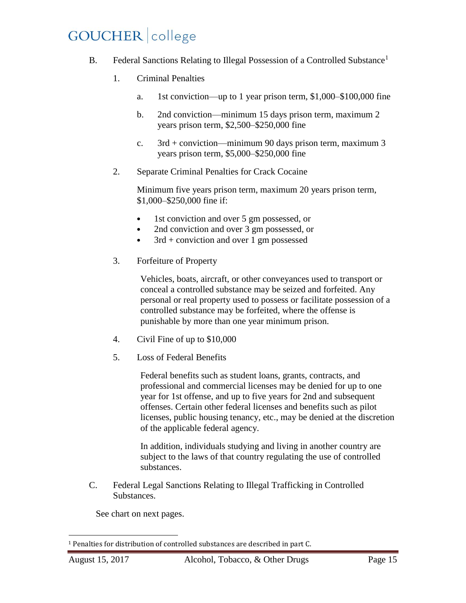- B. Federal Sanctions Relating to Illegal Possession of a Controlled Substance<sup>1</sup>
	- 1. Criminal Penalties
		- a. 1st conviction—up to 1 year prison term, \$1,000–\$100,000 fine
		- b. 2nd conviction—minimum 15 days prison term, maximum 2 years prison term, \$2,500–\$250,000 fine
		- c. 3rd + conviction—minimum 90 days prison term, maximum 3 years prison term, \$5,000–\$250,000 fine
	- 2. Separate Criminal Penalties for Crack Cocaine

Minimum five years prison term, maximum 20 years prison term, \$1,000–\$250,000 fine if:

- 1st conviction and over 5 gm possessed, or
- 2nd conviction and over 3 gm possessed, or
- $3rd$  + conviction and over 1 gm possessed
- 3. Forfeiture of Property

Vehicles, boats, aircraft, or other conveyances used to transport or conceal a controlled substance may be seized and forfeited. Any personal or real property used to possess or facilitate possession of a controlled substance may be forfeited, where the offense is punishable by more than one year minimum prison.

- 4. Civil Fine of up to \$10,000
- 5. Loss of Federal Benefits

Federal benefits such as student loans, grants, contracts, and professional and commercial licenses may be denied for up to one year for 1st offense, and up to five years for 2nd and subsequent offenses. Certain other federal licenses and benefits such as pilot licenses, public housing tenancy, etc., may be denied at the discretion of the applicable federal agency.

In addition, individuals studying and living in another country are subject to the laws of that country regulating the use of controlled substances.

C. Federal Legal Sanctions Relating to Illegal Trafficking in Controlled Substances.

See chart on next pages.

l <sup>1</sup> Penalties for distribution of controlled substances are described in part C.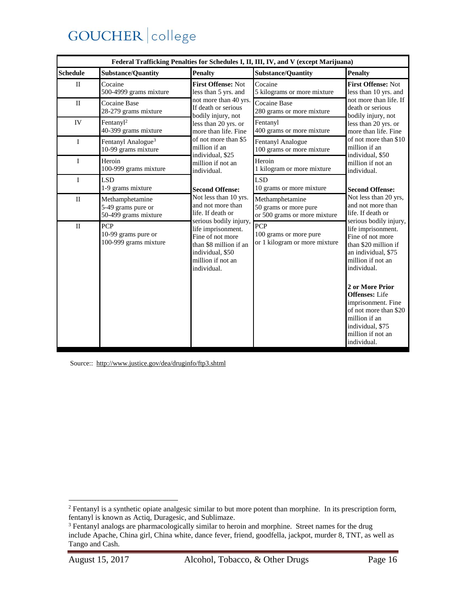| Federal Trafficking Penalties for Schedules I, II, III, IV, and V (except Marijuana) |                                                               |                                                                                                                                                                                                                               |                                                                          |                                                                                                                                                                                                                                                                   |  |
|--------------------------------------------------------------------------------------|---------------------------------------------------------------|-------------------------------------------------------------------------------------------------------------------------------------------------------------------------------------------------------------------------------|--------------------------------------------------------------------------|-------------------------------------------------------------------------------------------------------------------------------------------------------------------------------------------------------------------------------------------------------------------|--|
| <b>Schedule</b>                                                                      | <b>Substance/Quantity</b>                                     | Penalty                                                                                                                                                                                                                       | <b>Substance/Quantity</b>                                                | <b>Penalty</b>                                                                                                                                                                                                                                                    |  |
| $\mathbf{I}$                                                                         | Cocaine<br>500-4999 grams mixture                             | First Offense: Not<br>less than 5 yrs. and<br>not more than 40 yrs.<br>If death or serious<br>bodily injury, not<br>less than 20 yrs. or<br>more than life. Fine<br>of not more than \$5<br>million if an<br>individual, \$25 | Cocaine<br>5 kilograms or more mixture                                   | First Offense: Not<br>less than 10 yrs. and<br>not more than life. If<br>death or serious<br>bodily injury, not<br>less than 20 yrs. or<br>more than life. Fine<br>of not more than \$10<br>million if an<br>individual, \$50<br>million if not an<br>individual. |  |
| $\mathbf{H}$                                                                         | Cocaine Base<br>28-279 grams mixture                          |                                                                                                                                                                                                                               | Cocaine Base<br>280 grams or more mixture                                |                                                                                                                                                                                                                                                                   |  |
| IV                                                                                   | Fentanyl <sup>2</sup><br>40-399 grams mixture                 |                                                                                                                                                                                                                               | Fentanyl<br>400 grams or more mixture                                    |                                                                                                                                                                                                                                                                   |  |
| I                                                                                    | Fentanyl Analogue <sup>3</sup><br>10-99 grams mixture         |                                                                                                                                                                                                                               | Fentanyl Analogue<br>100 grams or more mixture                           |                                                                                                                                                                                                                                                                   |  |
| $\mathbf{I}$                                                                         | Heroin<br>100-999 grams mixture                               | million if not an<br>individual.                                                                                                                                                                                              | Heroin<br>1 kilogram or more mixture                                     |                                                                                                                                                                                                                                                                   |  |
| $\mathbf{I}$                                                                         | <b>LSD</b><br>1-9 grams mixture                               | <b>Second Offense:</b>                                                                                                                                                                                                        | <b>LSD</b><br>10 grams or more mixture                                   | <b>Second Offense:</b>                                                                                                                                                                                                                                            |  |
| $\mathbf{I}$                                                                         | Methamphetamine<br>5-49 grams pure or<br>50-499 grams mixture | Not less than 10 yrs.<br>and not more than<br>life. If death or                                                                                                                                                               | Methamphetamine<br>50 grams or more pure<br>or 500 grams or more mixture | Not less than 20 yrs,<br>and not more than<br>life. If death or<br>serious bodily injury,<br>life imprisonment.<br>Fine of not more<br>than \$20 million if<br>an individual, \$75<br>million if not an<br>individual.<br>2 or More Prior                         |  |
| $\rm II$                                                                             | <b>PCP</b><br>10-99 grams pure or<br>100-999 grams mixture    | serious bodily injury,<br>life imprisonment.<br>Fine of not more<br>than \$8 million if an<br>individual, \$50<br>million if not an<br>individual.                                                                            | PCP<br>100 grams or more pure<br>or 1 kilogram or more mixture           |                                                                                                                                                                                                                                                                   |  |
|                                                                                      |                                                               |                                                                                                                                                                                                                               |                                                                          | <b>Offenses:</b> Life<br>imprisonment. Fine<br>of not more than \$20<br>million if an<br>individual, \$75<br>million if not an<br>individual.                                                                                                                     |  |

Source::<http://www.justice.gov/dea/druginfo/ftp3.shtml>

 $\overline{a}$ 

 $2$  Fentanyl is a synthetic opiate analgesic similar to but more potent than morphine. In its prescription form, fentanyl is known as Actiq, Duragesic, and Sublimaze.

<sup>&</sup>lt;sup>3</sup> Fentanyl analogs are pharmacologically similar to heroin and morphine. Street names for the drug include Apache, China girl, China white, dance fever, friend, goodfella, jackpot, murder 8, TNT, as well as Tango and Cash.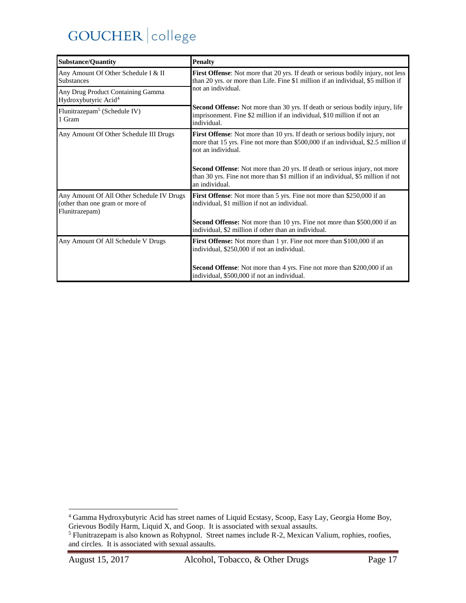| <b>Substance/Quantity</b>                                                                      | <b>Penalty</b>                                                                                                                                                                                                                                                                                                                                                                |  |
|------------------------------------------------------------------------------------------------|-------------------------------------------------------------------------------------------------------------------------------------------------------------------------------------------------------------------------------------------------------------------------------------------------------------------------------------------------------------------------------|--|
| Any Amount Of Other Schedule I & II<br><b>Substances</b>                                       | First Offense: Not more that 20 yrs. If death or serious bodily injury, not less<br>than 20 yrs. or more than Life. Fine \$1 million if an individual, \$5 million if<br>not an individual.<br><b>Second Offense:</b> Not more than 30 yrs. If death or serious bodily injury, life<br>imprisonment. Fine \$2 million if an individual, \$10 million if not an<br>individual. |  |
| Any Drug Product Containing Gamma<br>Hydroxybutyric Acid <sup>4</sup>                          |                                                                                                                                                                                                                                                                                                                                                                               |  |
| Flunitrazepam <sup>5</sup> (Schedule IV)<br>1 Gram                                             |                                                                                                                                                                                                                                                                                                                                                                               |  |
| Any Amount Of Other Schedule III Drugs                                                         | <b>First Offense:</b> Not more than 10 yrs. If death or serious bodily injury, not<br>more that 15 yrs. Fine not more than \$500,000 if an individual, \$2.5 million if<br>not an individual.                                                                                                                                                                                 |  |
|                                                                                                | <b>Second Offense:</b> Not more than 20 yrs. If death or serious injury, not more<br>than 30 yrs. Fine not more than \$1 million if an individual, \$5 million if not<br>an individual.                                                                                                                                                                                       |  |
| Any Amount Of All Other Schedule IV Drugs<br>(other than one gram or more of<br>Flunitrazepam) | <b>First Offense:</b> Not more than 5 yrs. Fine not more than \$250,000 if an<br>individual, \$1 million if not an individual.                                                                                                                                                                                                                                                |  |
|                                                                                                | Second Offense: Not more than 10 yrs. Fine not more than \$500,000 if an<br>individual, \$2 million if other than an individual.                                                                                                                                                                                                                                              |  |
| Any Amount Of All Schedule V Drugs                                                             | <b>First Offense:</b> Not more than 1 yr. Fine not more than \$100,000 if an<br>individual, \$250,000 if not an individual.                                                                                                                                                                                                                                                   |  |
|                                                                                                | <b>Second Offense:</b> Not more than 4 yrs. Fine not more than \$200,000 if an<br>individual, \$500,000 if not an individual.                                                                                                                                                                                                                                                 |  |

 $\overline{a}$ 

<sup>4</sup> Gamma Hydroxybutyric Acid has street names of Liquid Ecstasy, Scoop, Easy Lay, Georgia Home Boy, Grievous Bodily Harm, Liquid X, and Goop. It is associated with sexual assaults.

 $<sup>5</sup>$  Flunitrazepam is also known as Rohypnol. Street names include R-2, Mexican Valium, rophies, roofies,</sup> and circles. It is associated with sexual assaults.